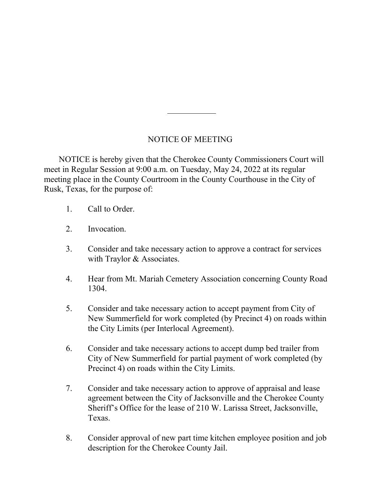## NOTICE OF MEETING

 NOTICE is hereby given that the Cherokee County Commissioners Court will meet in Regular Session at 9:00 a.m. on Tuesday, May 24, 2022 at its regular meeting place in the County Courtroom in the County Courthouse in the City of Rusk, Texas, for the purpose of:

- 1. Call to Order.
- 2. Invocation.
- 3. Consider and take necessary action to approve a contract for services with Traylor & Associates.
- 4. Hear from Mt. Mariah Cemetery Association concerning County Road 1304.
- 5. Consider and take necessary action to accept payment from City of New Summerfield for work completed (by Precinct 4) on roads within the City Limits (per Interlocal Agreement).
- 6. Consider and take necessary actions to accept dump bed trailer from City of New Summerfield for partial payment of work completed (by Precinct 4) on roads within the City Limits.
- 7. Consider and take necessary action to approve of appraisal and lease agreement between the City of Jacksonville and the Cherokee County Sheriff's Office for the lease of 210 W. Larissa Street, Jacksonville, Texas.
- 8. Consider approval of new part time kitchen employee position and job description for the Cherokee County Jail.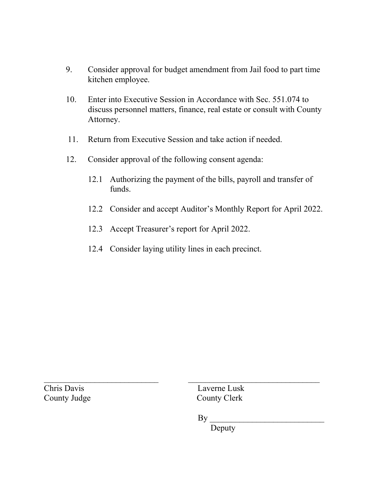- 9. Consider approval for budget amendment from Jail food to part time kitchen employee.
- 10. Enter into Executive Session in Accordance with Sec. 551.074 to discuss personnel matters, finance, real estate or consult with County Attorney.
- 11. Return from Executive Session and take action if needed.
- 12. Consider approval of the following consent agenda:
	- 12.1 Authorizing the payment of the bills, payroll and transfer of funds.
	- 12.2 Consider and accept Auditor's Monthly Report for April 2022.
	- 12.3 Accept Treasurer's report for April 2022.
	- 12.4 Consider laying utility lines in each precinct.

County Judge County Clerk

 $\mathcal{L}_\text{max}$  , and the contribution of the contribution of the contribution of the contribution of the contribution of the contribution of the contribution of the contribution of the contribution of the contribution of t Chris Davis Laverne Lusk

 $By$ 

Deputy